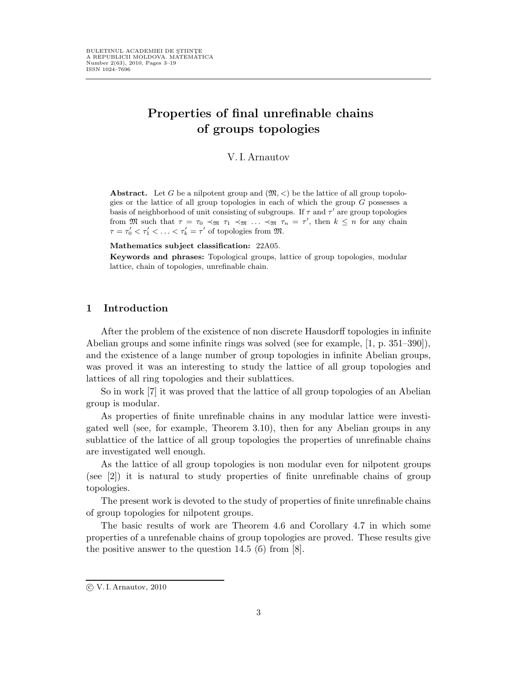# Properties of final unrefinable chains of groups topologies

#### V.I.Arnautov

Abstract. Let G be a nilpotent group and  $(\mathfrak{M}, \leq)$  be the lattice of all group topologies or the lattice of all group topologies in each of which the group G possesses a basis of neighborhood of unit consisting of subgroups. If  $\tau$  and  $\tau'$  are group topologies from M such that  $\tau = \tau_0 \prec_{\mathfrak{M}} \tau_1 \prec_{\mathfrak{M}} \ldots \prec_{\mathfrak{M}} \tau_n = \tau'$ , then  $k \leq n$  for any chain  $\tau = \tau'_0 < \tau'_1 < \ldots < \tau'_k = \tau'$  of topologies from  $\mathfrak{M}$ .

#### Mathematics subject classification: 22A05.

Keywords and phrases: Topological groups, lattice of group topologies, modular lattice, chain of topologies, unrefinable chain.

# 1 Introduction

After the problem of the existence of non discrete Hausdorff topologies in infinite Abelian groups and some infinite rings was solved (see for example, [1, p. 351–390]), and the existence of a lange number of group topologies in infinite Abelian groups, was proved it was an interesting to study the lattice of all group topologies and lattices of all ring topologies and their sublattices.

So in work [7] it was proved that the lattice of all group topologies of an Abelian group is modular.

As properties of finite unrefinable chains in any modular lattice were investigated well (see, for example, Theorem 3.10), then for any Abelian groups in any sublattice of the lattice of all group topologies the properties of unrefinable chains are investigated well enough.

As the lattice of all group topologies is non modular even for nilpotent groups (see [2]) it is natural to study properties of finite unrefinable chains of group topologies.

The present work is devoted to the study of properties of finite unrefinable chains of group topologies for nilpotent groups.

The basic results of work are Theorem 4.6 and Corollary 4.7 in which some properties of a unrefenable chains of group topologies are proved. These results give the positive answer to the question 14.5 (б) from [8].

c V. I. Arnautov, 2010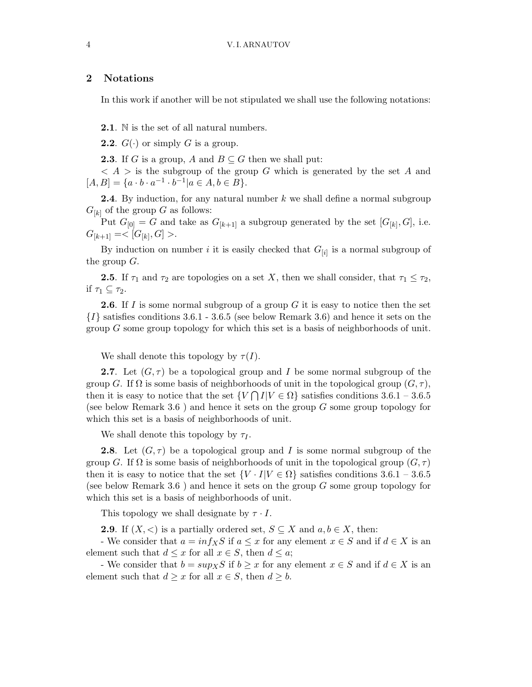# 2 Notations

In this work if another will be not stipulated we shall use the following notations:

2.1. N is the set of all natural numbers.

- **2.2.**  $G(\cdot)$  or simply G is a group.
- **2.3**. If G is a group, A and  $B \subseteq G$  then we shall put:

 $\langle A \rangle$  is the subgroup of the group G which is generated by the set A and  $[A, B] = \{a \cdot b \cdot a^{-1} \cdot b^{-1} | a \in A, b \in B\}.$ 

**2.4**. By induction, for any natural number  $k$  we shall define a normal subgroup  $G_{[k]}$  of the group G as follows:

Put  $G_{[0]} = G$  and take as  $G_{[k+1]}$  a subgroup generated by the set  $[G_{[k]}, G]$ , i.e.  $G_{[k+1]} = <[G_{[k]}, G] >.$ 

By induction on number i it is easily checked that  $G_{[i]}$  is a normal subgroup of the group  $G$ .

**2.5**. If  $\tau_1$  and  $\tau_2$  are topologies on a set X, then we shall consider, that  $\tau_1 \leq \tau_2$ , if  $\tau_1 \subseteq \tau_2$ .

**2.6.** If I is some normal subgroup of a group  $G$  it is easy to notice then the set  $\{I\}$  satisfies conditions 3.6.1 - 3.6.5 (see below Remark 3.6) and hence it sets on the group G some group topology for which this set is a basis of neighborhoods of unit.

We shall denote this topology by  $\tau(I)$ .

**2.7.** Let  $(G, \tau)$  be a topological group and I be some normal subgroup of the group G. If  $\Omega$  is some basis of neighborhoods of unit in the topological group  $(G, \tau)$ , then it is easy to notice that the set  $\{V \cap I | V \in \Omega\}$  satisfies conditions 3.6.1 – 3.6.5 (see below Remark 3.6) and hence it sets on the group  $G$  some group topology for which this set is a basis of neighborhoods of unit.

We shall denote this topology by  $\tau_I$ .

**2.8.** Let  $(G, \tau)$  be a topological group and I is some normal subgroup of the group G. If  $\Omega$  is some basis of neighborhoods of unit in the topological group  $(G, \tau)$ then it is easy to notice that the set  $\{V \cdot I | V \in \Omega\}$  satisfies conditions 3.6.1 – 3.6.5 (see below Remark 3.6) and hence it sets on the group  $G$  some group topology for which this set is a basis of neighborhoods of unit.

This topology we shall designate by  $\tau \cdot I$ .

**2.9**. If  $(X, \leq)$  is a partially ordered set,  $S \subseteq X$  and  $a, b \in X$ , then:

- We consider that  $a = inf_X S$  if  $a \leq x$  for any element  $x \in S$  and if  $d \in X$  is an element such that  $d \leq x$  for all  $x \in S$ , then  $d \leq a$ ;

- We consider that  $b = \sup_{X} S$  if  $b \geq x$  for any element  $x \in S$  and if  $d \in X$  is an element such that  $d \geq x$  for all  $x \in S$ , then  $d \geq b$ .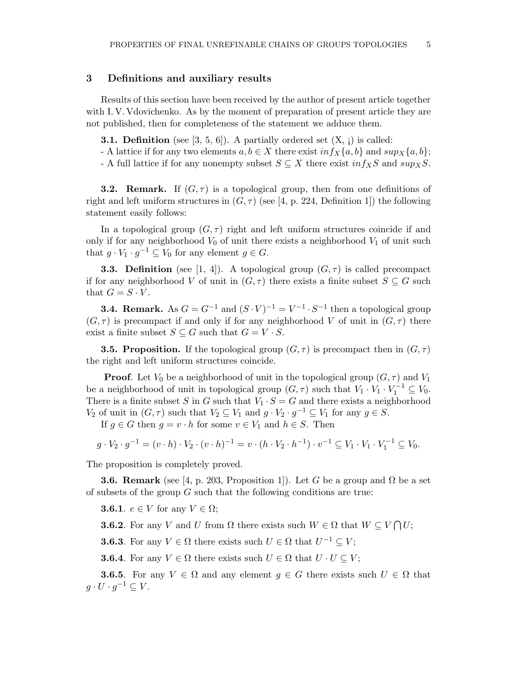# 3 Definitions and auxiliary results

Results of this section have been received by the author of present article together with I. V. Vdovichenko. As by the moment of preparation of present article they are not published, then for completeness of the statement we adduce them.

- **3.1. Definition** (see [3, 5, 6]). A partially ordered set  $(X, j)$  is called:
- A lattice if for any two elements  $a, b \in X$  there exist  $inf_X\{a, b\}$  and  $sup_X\{a, b\}$ ;
- A full lattice if for any nonempty subset  $S \subseteq X$  there exist  $inf_X S$  and  $sup_X S$ .

**3.2. Remark.** If  $(G, \tau)$  is a topological group, then from one definitions of right and left uniform structures in  $(G, \tau)$  (see [4, p. 224, Definition 1]) the following statement easily follows:

In a topological group  $(G, \tau)$  right and left uniform structures coincide if and only if for any neighborhood  $V_0$  of unit there exists a neighborhood  $V_1$  of unit such that  $g \cdot V_1 \cdot g^{-1} \subseteq V_0$  for any element  $g \in G$ .

**3.3. Definition** (see [1, 4]). A topological group  $(G, \tau)$  is called precompact if for any neighborhood V of unit in  $(G, \tau)$  there exists a finite subset  $S \subseteq G$  such that  $G = S \cdot V$ .

**3.4. Remark.** As  $G = G^{-1}$  and  $(S \cdot V)^{-1} = V^{-1} \cdot S^{-1}$  then a topological group  $(G, \tau)$  is precompact if and only if for any neighborhood V of unit in  $(G, \tau)$  there exist a finite subset  $S \subseteq G$  such that  $G = V \cdot S$ .

**3.5. Proposition.** If the topological group  $(G, \tau)$  is precompact then in  $(G, \tau)$ the right and left uniform structures coincide.

**Proof.** Let  $V_0$  be a neighborhood of unit in the topological group  $(G, \tau)$  and  $V_1$ be a neighborhood of unit in topological group  $(G, \tau)$  such that  $V_1 \cdot V_1 \cdot V_1^{-1} \subseteq V_0$ . There is a finite subset S in G such that  $V_1 \cdot S = G$  and there exists a neighborhood  $V_2$  of unit in  $(G, \tau)$  such that  $V_2 \subseteq V_1$  and  $g \cdot V_2 \cdot g^{-1} \subseteq V_1$  for any  $g \in S$ .

If  $g \in G$  then  $g = v \cdot h$  for some  $v \in V_1$  and  $h \in S$ . Then

$$
g \cdot V_2 \cdot g^{-1} = (v \cdot h) \cdot V_2 \cdot (v \cdot h)^{-1} = v \cdot (h \cdot V_2 \cdot h^{-1}) \cdot v^{-1} \subseteq V_1 \cdot V_1 \cdot V_1^{-1} \subseteq V_0.
$$

The proposition is completely proved.

**3.6. Remark** (see [4, p. 203, Proposition 1]). Let G be a group and  $\Omega$  be a set of subsets of the group  $G$  such that the following conditions are true:

**3.6.1.**  $e \in V$  for any  $V \in \Omega$ ;

**3.6.2**. For any V and U from  $\Omega$  there exists such  $W \in \Omega$  that  $W \subseteq V \cap U$ ;

**3.6.3**. For any  $V \in \Omega$  there exists such  $U \in \Omega$  that  $U^{-1} \subseteq V$ ;

**3.6.4**. For any  $V \in \Omega$  there exists such  $U \in \Omega$  that  $U \cdot U \subseteq V$ ;

**3.6.5**. For any  $V \in \Omega$  and any element  $q \in G$  there exists such  $U \in \Omega$  that  $g \cdot U \cdot g^{-1} \subseteq V$ .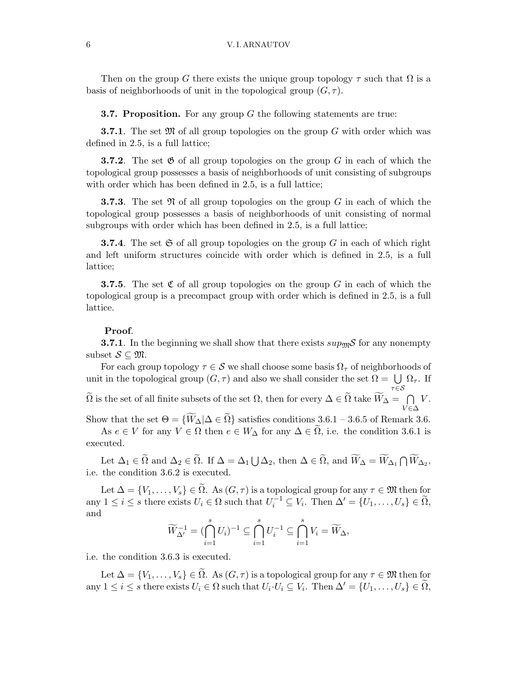Then on the group G there exists the unique group topology  $\tau$  such that  $\Omega$  is a basis of neighborhoods of unit in the topological group  $(G, \tau)$ .

**3.7. Proposition.** For any group  $G$  the following statements are true:

**3.7.1**. The set  $\mathfrak{M}$  of all group topologies on the group G with order which was defined in 2.5, is a full lattice;

**3.7.2.** The set  $\mathfrak{G}$  of all group topologies on the group G in each of which the topological group possesses a basis of neighborhoods of unit consisting of subgroups with order which has been defined in 2.5, is a full lattice;

**3.7.3**. The set  $\mathfrak{N}$  of all group topologies on the group G in each of which the topological group possesses a basis of neighborhoods of unit consisting of normal subgroups with order which has been defined in 2.5, is a full lattice;

**3.7.4.** The set  $\mathfrak{S}$  of all group topologies on the group G in each of which right and left uniform structures coincide with order which is defined in 2.5, is a full lattice;

**3.7.5.** The set  $\mathfrak{C}$  of all group topologies on the group G in each of which the topological group is a precompact group with order which is defined in 2.5, is a full lattice.

#### Proof.

**3.7.1**. In the beginning we shall show that there exists  $sup_{\mathfrak{M}}\mathcal{S}$  for any nonempty subset  $S \subset \mathfrak{M}$ .

For each group topology  $\tau \in \mathcal{S}$  we shall choose some basis  $\Omega_{\tau}$  of neighborhoods of unit in the topological group  $(G, \tau)$  and also we shall consider the set  $\Omega = \bigcup \Omega_{\tau}$ . If  $\tau \in \mathcal{S}$ 

 $\widetilde{\Omega}$  is the set of all finite subsets of the set  $\Omega,$  then for every  $\Delta \in \widetilde{\Omega}$  take  $\widetilde{W}_{\Delta} = -\bigcap$  $V\in\Delta$  $V.$ 

Show that the set  $\Theta = \{W_{\Delta} | \Delta \in \Omega\}$  satisfies conditions 3.6.1 – 3.6.5 of Remark 3.6.

As  $e \in V$  for any  $V \in \Omega$  then  $e \in W_{\Delta}$  for any  $\Delta \in \widetilde{\Omega}$ , i.e. the condition 3.6.1 is executed.

Let  $\Delta_1 \in \widetilde{\Omega}$  and  $\Delta_2 \in \widetilde{\Omega}$ . If  $\Delta = \Delta_1 \bigcup \Delta_2$ , then  $\Delta \in \widetilde{\Omega}$ , and  $\widetilde{W}_{\Delta} = \widetilde{W}_{\Delta_1} \cap \widetilde{W}_{\Delta_2}$ , i.e. the condition 3.6.2 is executed.

Let  $\Delta = \{V_1, \ldots, V_s\} \in \tilde{\Omega}$ . As  $(G, \tau)$  is a topological group for any  $\tau \in \mathfrak{M}$  then for any  $1 \leq i \leq s$  there exists  $U_i \in \Omega$  such that  $U_i^{-1} \subseteq V_i$ . Then  $\Delta' = \{U_1, \ldots, U_s\} \in \widetilde{\Omega}$ , and

$$
\widetilde{W}_{\Delta'}^{-1} = \left(\bigcap_{i=1}^s U_i\right)^{-1} \subseteq \bigcap_{i=1}^s U_i^{-1} \subseteq \bigcap_{i=1}^s V_i = \widetilde{W}_{\Delta},
$$

i.e. the condition 3.6.3 is executed.

Let  $\Delta = \{V_1, \ldots, V_s\} \in \tilde{\Omega}$ . As  $(G, \tau)$  is a topological group for any  $\tau \in \mathfrak{M}$  then for any  $1 \leq i \leq s$  there exists  $U_i \in \Omega$  such that  $U_i \cdot U_i \subseteq V_i$ . Then  $\Delta' = \{U_1, \ldots, U_s\} \in \widetilde{\Omega}$ ,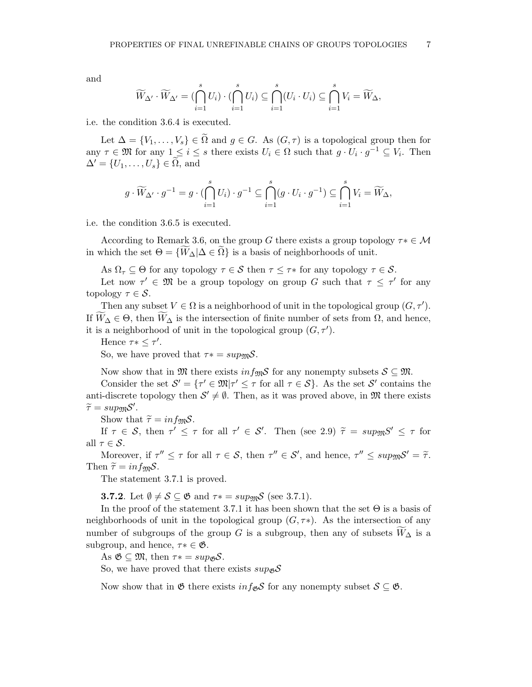and

$$
\widetilde{W}_{\Delta'}\cdot \widetilde{W}_{\Delta'}=(\bigcap_{i=1}^s U_i)\cdot (\bigcap_{i=1}^s U_i)\subseteq \bigcap_{i=1}^s (U_i\cdot U_i)\subseteq \bigcap_{i=1}^s V_i=\widetilde{W}_{\Delta},
$$

i.e. the condition 3.6.4 is executed.

Let  $\Delta = \{V_1, \ldots, V_s\} \in \tilde{\Omega}$  and  $g \in G$ . As  $(G, \tau)$  is a topological group then for any  $\tau \in \mathfrak{M}$  for any  $1 \leq i \leq s$  there exists  $U_i \in \Omega$  such that  $g \cdot U_i \cdot g^{-1} \subseteq V_i$ . Then  $\Delta' = \{U_1, \ldots, U_s\} \in \Omega$ , and

$$
g \cdot \widetilde{W}_{\Delta'} \cdot g^{-1} = g \cdot \bigoplus_{i=1}^s U_i \cdot g^{-1} \subseteq \bigcap_{i=1}^s (g \cdot U_i \cdot g^{-1}) \subseteq \bigcap_{i=1}^s V_i = \widetilde{W}_{\Delta},
$$

i.e. the condition 3.6.5 is executed.

According to Remark 3.6, on the group G there exists a group topology  $\tau^* \in \mathcal{M}$ in which the set  $\Theta = \{W_{\Delta} | \Delta \in \Omega\}$  is a basis of neighborhoods of unit.

As  $\Omega_{\tau} \subseteq \Theta$  for any topology  $\tau \in \mathcal{S}$  then  $\tau \leq \tau^*$  for any topology  $\tau \in \mathcal{S}$ .

Let now  $\tau' \in \mathfrak{M}$  be a group topology on group G such that  $\tau \leq \tau'$  for any topology  $\tau \in \mathcal{S}$ .

Then any subset  $V \in \Omega$  is a neighborhood of unit in the topological group  $(G, \tau')$ . If  $\overline{W}_{\Delta} \in \Theta$ , then  $\overline{W}_{\Delta}$  is the intersection of finite number of sets from  $\Omega$ , and hence, it is a neighborhood of unit in the topological group  $(G, \tau')$ .

Hence  $\tau * \leq \tau'$ . So, we have proved that  $\tau* = \sup_{\mathfrak{M}} S$ .

Now show that in  $\mathfrak{M}$  there exists  $inf_{\mathfrak{M}} S$  for any nonempty subsets  $S \subseteq \mathfrak{M}$ .

Consider the set  $\mathcal{S}' = \{ \tau' \in \mathfrak{M} | \tau' \leq \tau \text{ for all } \tau \in \mathcal{S} \}.$  As the set  $\mathcal{S}'$  contains the anti-discrete topology then  $S' \neq \emptyset$ . Then, as it was proved above, in M there exists  $\widetilde{\tau} = sup_{\mathfrak{M}}\mathcal{S}'.$ 

Show that  $\tilde{\tau} = inf_{\mathfrak{M}}S$ .

If  $\tau \in S$ , then  $\tau' \leq \tau$  for all  $\tau' \in S'$ . Then (see 2.9)  $\tilde{\tau} = \sup_{\mathfrak{M}} S' \leq \tau$  for all  $\tau \in \mathcal{S}$ .

Moreover, if  $\tau'' \leq \tau$  for all  $\tau \in S$ , then  $\tau'' \in S'$ , and hence,  $\tau'' \leq \sup_{\mathfrak{M}} S' = \tilde{\tau}$ . Then  $\tilde{\tau} = in f_{\mathfrak{M}} S$ .

The statement 3.7.1 is proved.

**3.7.2**. Let  $\emptyset \neq \mathcal{S} \subseteq \mathfrak{G}$  and  $\tau* = \text{supp} \mathfrak{G}$  (see 3.7.1).

In the proof of the statement 3.7.1 it has been shown that the set  $\Theta$  is a basis of neighborhoods of unit in the topological group  $(G, \tau^*)$ . As the intersection of any number of subgroups of the group G is a subgroup, then any of subsets  $\widetilde{W}_{\Delta}$  is a subgroup, and hence,  $\tau^* \in \mathfrak{G}$ .

As  $\mathfrak{G} \subseteq \mathfrak{M}$ , then  $\tau* = sup_{\mathfrak{G}}S$ .

So, we have proved that there exists  $\sup_{\mathcal{B}} S$ 

Now show that in  $\mathfrak{G}$  there exists  $inf_{\mathfrak{G}} S$  for any nonempty subset  $S \subseteq \mathfrak{G}$ .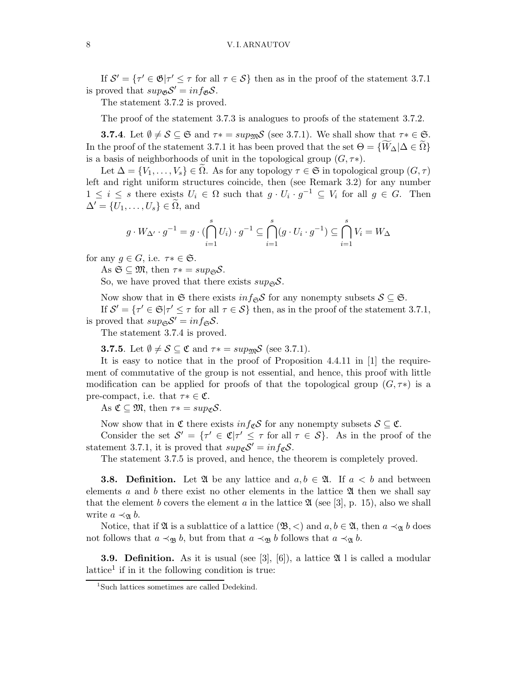#### 8 V. I. ARNAUTOV

If  $S' = \{ \tau' \in \mathfrak{G} | \tau' \leq \tau \text{ for all } \tau \in S \}$  then as in the proof of the statement 3.7.1 is proved that  $sup_{\mathcal{B}} \mathcal{S}' = inf_{\mathcal{B}} \mathcal{S}$ .

The statement 3.7.2 is proved.

The proof of the statement 3.7.3 is analogues to proofs of the statement 3.7.2.

**3.7.4**. Let  $\emptyset \neq \mathcal{S} \subseteq \mathfrak{S}$  and  $\tau* = \text{supp}\mathcal{S}$  (see 3.7.1). We shall show that  $\tau* \in \mathfrak{S}$ . In the proof of the statement 3.7.1 it has been proved that the set  $\Theta = {\overline{W_\Delta|\Delta \in \Omega}}$ is a basis of neighborhoods of unit in the topological group  $(G, \tau^*)$ .

Let  $\Delta = \{V_1, \ldots, V_s\} \in \Omega$ . As for any topology  $\tau \in \mathfrak{S}$  in topological group  $(G, \tau)$ left and right uniform structures coincide, then (see Remark 3.2) for any number  $1 \leq i \leq s$  there exists  $U_i \in \Omega$  such that  $g \cdot U_i \cdot g^{-1} \subseteq V_i$  for all  $g \in G$ . Then  $\Delta' = \{U_1, \ldots, U_s\} \in \Omega$ , and

$$
g \cdot W_{\Delta'} \cdot g^{-1} = g \cdot \left(\bigcap_{i=1}^s U_i\right) \cdot g^{-1} \subseteq \bigcap_{i=1}^s (g \cdot U_i \cdot g^{-1}) \subseteq \bigcap_{i=1}^s V_i = W_{\Delta}
$$

for any  $g \in G$ , i.e.  $\tau^* \in \mathfrak{S}$ .

As  $\mathfrak{S} \subseteq \mathfrak{M}$ , then  $\tau* = sup_{\mathfrak{S}}\mathcal{S}$ .

So, we have proved that there exists  $sup_{\mathfrak{S}}\mathcal{S}$ .

Now show that in G there exists  $inf_{\mathfrak{S}} \mathcal{S}$  for any nonempty subsets  $\mathcal{S} \subseteq \mathfrak{S}$ .

If  $S' = \{ \tau' \in \mathfrak{S} | \tau' \leq \tau \text{ for all } \tau \in S \}$  then, as in the proof of the statement 3.7.1, is proved that  $sup_{\mathfrak{S}} \mathcal{S}' = inf_{\mathfrak{S}} \mathcal{S}$ .

The statement 3.7.4 is proved.

**3.7.5**. Let  $\emptyset \neq \mathcal{S} \subseteq \mathfrak{C}$  and  $\tau* = \text{sup}_{\mathfrak{M}} \mathcal{S}$  (see 3.7.1).

It is easy to notice that in the proof of Proposition 4.4.11 in [1] the requirement of commutative of the group is not essential, and hence, this proof with little modification can be applied for proofs of that the topological group  $(G, \tau^*)$  is a pre-compact, i.e. that  $\tau^* \in \mathfrak{C}$ .

As  $\mathfrak{C} \subseteq \mathfrak{M}$ , then  $\tau* = sup_{\mathfrak{C}}\mathcal{S}$ .

Now show that in  $\mathfrak C$  there exists  $inf_{\mathfrak C} S$  for any nonempty subsets  $S \subseteq \mathfrak C$ .

Consider the set  $\mathcal{S}' = \{ \tau' \in \mathfrak{C} | \tau' \leq \tau \text{ for all } \tau \in \mathcal{S} \}.$  As in the proof of the statement 3.7.1, it is proved that  $sup_{\mathcal{C}} \mathcal{S}' = inf_{\mathcal{C}} \mathcal{S}$ .

The statement 3.7.5 is proved, and hence, the theorem is completely proved.

**3.8. Definition.** Let  $\mathfrak{A}$  be any lattice and  $a, b \in \mathfrak{A}$ . If  $a < b$  and between elements a and b there exist no other elements in the lattice  $\mathfrak A$  then we shall say that the element b covers the element a in the lattice  $\mathfrak{A}$  (see [3], p. 15), also we shall write  $a \prec_{\mathfrak{A}} b$ .

Notice, that if  $\mathfrak A$  is a sublattice of a lattice  $(\mathfrak B, \lt)$  and  $a, b \in \mathfrak A$ , then  $a \prec_{\mathfrak A} b$  does not follows that  $a \prec_{\mathfrak{B}} b$ , but from that  $a \prec_{\mathfrak{B}} b$  follows that  $a \prec_{\mathfrak{A}} b$ .

**3.9. Definition.** As it is usual (see [3], [6]), a lattice  $\mathfrak{A}$  l is called a modular lattice<sup>1</sup> if in it the following condition is true:

<sup>&</sup>lt;sup>1</sup>Such lattices sometimes are called Dedekind.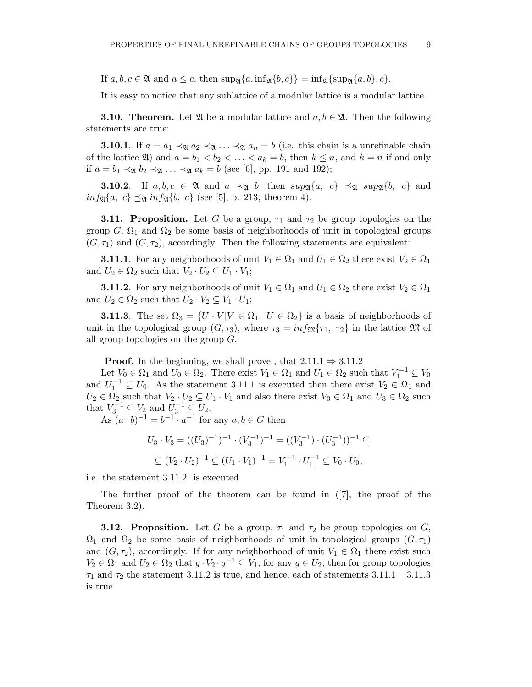If  $a, b, c \in \mathfrak{A}$  and  $a \leq c$ , then  $\sup_{\mathfrak{A}} \{a, \inf_{\mathfrak{A}} \{b, c\} \} = \inf_{\mathfrak{A}} \{ \sup_{\mathfrak{A}} \{a, b\}, c \}.$ 

It is easy to notice that any sublattice of a modular lattice is a modular lattice.

**3.10. Theorem.** Let  $\mathfrak{A}$  be a modular lattice and  $a, b \in \mathfrak{A}$ . Then the following statements are true:

**3.10.1**. If  $a = a_1 \prec_{\mathfrak{A}} a_2 \prec_{\mathfrak{A}} \ldots \prec_{\mathfrak{A}} a_n = b$  (i.e. this chain is a unrefinable chain of the lattice  $\mathfrak{A}$ ) and  $a = b_1 < b_2 < \ldots < a_k = b$ , then  $k \leq n$ , and  $k = n$  if and only if  $a = b_1 \prec_{\mathfrak{A}} b_2 \prec_{\mathfrak{A}} \ldots \prec_{\mathfrak{A}} a_k = b$  (see [6], pp. 191 and 192);

**3.10.2**. If  $a, b, c \in \mathfrak{A}$  and  $a \prec_{\mathfrak{A}} b$ , then  $sup_{\mathfrak{A}}\{a, c\} \preceq_{\mathfrak{A}} sup_{\mathfrak{A}}\{b, c\}$  and  $inf_{\mathfrak{A}}\{a, c\} \preceq_{\mathfrak{A}} inf_{\mathfrak{A}}\{b, c\}$  (see [5], p. 213, theorem 4).

**3.11. Proposition.** Let G be a group,  $\tau_1$  and  $\tau_2$  be group topologies on the group G,  $\Omega_1$  and  $\Omega_2$  be some basis of neighborhoods of unit in topological groups  $(G, \tau_1)$  and  $(G, \tau_2)$ , accordingly. Then the following statements are equivalent:

**3.11.1**. For any neighborhoods of unit  $V_1 \in \Omega_1$  and  $U_1 \in \Omega_2$  there exist  $V_2 \in \Omega_1$ and  $U_2 \in \Omega_2$  such that  $V_2 \cdot U_2 \subseteq U_1 \cdot V_1$ ;

**3.11.2**. For any neighborhoods of unit  $V_1 \in \Omega_1$  and  $U_1 \in \Omega_2$  there exist  $V_2 \in \Omega_1$ and  $U_2 \in \Omega_2$  such that  $U_2 \cdot V_2 \subseteq V_1 \cdot U_1$ ;

**3.11.3**. The set  $\Omega_3 = \{U \cdot V | V \in \Omega_1, U \in \Omega_2\}$  is a basis of neighborhoods of unit in the topological group  $(G, \tau_3)$ , where  $\tau_3 = inf_{\mathfrak{M}}\{\tau_1, \tau_2\}$  in the lattice  $\mathfrak{M}$  of all group topologies on the group G.

**Proof.** In the beginning, we shall prove, that  $2.11.1 \Rightarrow 3.11.2$ 

Let  $V_0 \in \Omega_1$  and  $U_0 \in \Omega_2$ . There exist  $V_1 \in \Omega_1$  and  $U_1 \in \Omega_2$  such that  $V_1^{-1} \subseteq V_0$ and  $U_1^{-1} \subseteq U_0$ . As the statement 3.11.1 is executed then there exist  $V_2 \in \Omega_1$  and  $U_2 \in \Omega_2$  such that  $V_2 \cdot U_2 \subseteq U_1 \cdot V_1$  and also there exist  $V_3 \in \Omega_1$  and  $U_3 \in \Omega_2$  such that  $V_3^{-1} \subseteq V_2$  and  $U_3^{-1} \subseteq U_2$ .

As  $(a \cdot b)^{-1} = b^{-1} \cdot a^{-1}$  for any  $a, b \in G$  then

$$
U_3 \cdot V_3 = ((U_3)^{-1})^{-1} \cdot (V_3^{-1})^{-1} = ((V_3^{-1}) \cdot (U_3^{-1}))^{-1} \subseteq
$$
  

$$
\subseteq (V_2 \cdot U_2)^{-1} \subseteq (U_1 \cdot V_1)^{-1} = V_1^{-1} \cdot U_1^{-1} \subseteq V_0 \cdot U_0,
$$

i.e. the statement 3.11.2 is executed.

The further proof of the theorem can be found in ([7], the proof of the Theorem 3.2).

**3.12. Proposition.** Let G be a group,  $\tau_1$  and  $\tau_2$  be group topologies on G,  $\Omega_1$  and  $\Omega_2$  be some basis of neighborhoods of unit in topological groups  $(G, \tau_1)$ and  $(G, \tau_2)$ , accordingly. If for any neighborhood of unit  $V_1 \in \Omega_1$  there exist such  $V_2 \in \Omega_1$  and  $U_2 \in \Omega_2$  that  $g \cdot V_2 \cdot g^{-1} \subseteq V_1$ , for any  $g \in U_2$ , then for group topologies  $\tau_1$  and  $\tau_2$  the statement 3.11.2 is true, and hence, each of statements 3.11.1 – 3.11.3 is true.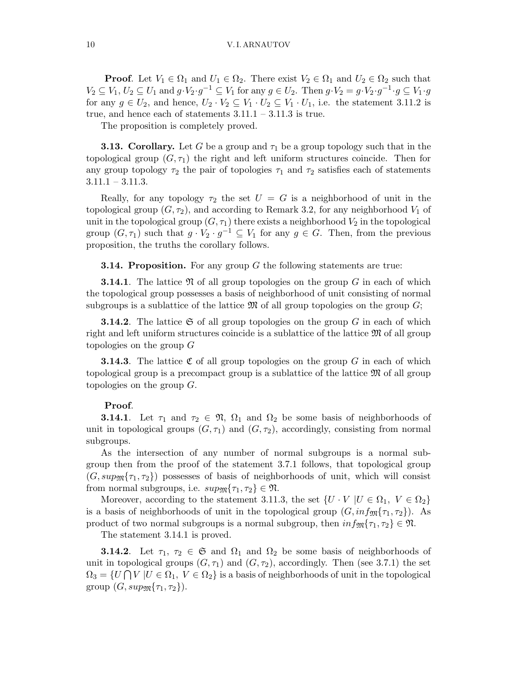**Proof.** Let  $V_1 \in \Omega_1$  and  $U_1 \in \Omega_2$ . There exist  $V_2 \in \Omega_1$  and  $U_2 \in \Omega_2$  such that  $V_2 \subseteq V_1, U_2 \subseteq U_1$  and  $g \cdot V_2 \cdot g^{-1} \subseteq V_1$  for any  $g \in U_2$ . Then  $g \cdot V_2 = g \cdot V_2 \cdot g^{-1} \cdot g \subseteq V_1 \cdot g$ for any  $g \in U_2$ , and hence,  $U_2 \cdot V_2 \subseteq V_1 \cdot U_2 \subseteq V_1 \cdot U_1$ , i.e. the statement 3.11.2 is true, and hence each of statements  $3.11.1 - 3.11.3$  is true.

The proposition is completely proved.

**3.13. Corollary.** Let G be a group and  $\tau_1$  be a group topology such that in the topological group  $(G, \tau_1)$  the right and left uniform structures coincide. Then for any group topology  $\tau_2$  the pair of topologies  $\tau_1$  and  $\tau_2$  satisfies each of statements  $3.11.1 - 3.11.3.$ 

Really, for any topology  $\tau_2$  the set  $U = G$  is a neighborhood of unit in the topological group  $(G, \tau_2)$ , and according to Remark 3.2, for any neighborhood  $V_1$  of unit in the topological group  $(G, \tau_1)$  there exists a neighborhood  $V_2$  in the topological group  $(G, \tau_1)$  such that  $g \cdot V_2 \cdot g^{-1} \subseteq V_1$  for any  $g \in G$ . Then, from the previous proposition, the truths the corollary follows.

**3.14. Proposition.** For any group  $G$  the following statements are true:

**3.14.1**. The lattice  $\mathfrak{N}$  of all group topologies on the group G in each of which the topological group possesses a basis of neighborhood of unit consisting of normal subgroups is a sublattice of the lattice  $\mathfrak{M}$  of all group topologies on the group  $G$ ;

**3.14.2**. The lattice  $\mathfrak{S}$  of all group topologies on the group G in each of which right and left uniform structures coincide is a sublattice of the lattice  $\mathfrak{M}$  of all group topologies on the group  $G$ 

**3.14.3**. The lattice  $\mathfrak C$  of all group topologies on the group G in each of which topological group is a precompact group is a sublattice of the lattice M of all group topologies on the group  $G$ .

# Proof.

**3.14.1**. Let  $\tau_1$  and  $\tau_2 \in \mathfrak{N}$ ,  $\Omega_1$  and  $\Omega_2$  be some basis of neighborhoods of unit in topological groups  $(G, \tau_1)$  and  $(G, \tau_2)$ , accordingly, consisting from normal subgroups.

As the intersection of any number of normal subgroups is a normal subgroup then from the proof of the statement 3.7.1 follows, that topological group  $(G, \text{sup}_{\mathfrak{M}}\{\tau_1, \tau_2\})$  possesses of basis of neighborhoods of unit, which will consist from normal subgroups, i.e.  $sup_{\mathfrak{M}} {\tau_1, \tau_2} \in \mathfrak{N}$ .

Moreover, according to the statement 3.11.3, the set  $\{U \cdot V \mid U \in \Omega_1, V \in \Omega_2\}$ is a basis of neighborhoods of unit in the topological group  $(G, inf_{\mathfrak{M}}\{\tau_1, \tau_2\})$ . As product of two normal subgroups is a normal subgroup, then  $inf_{\mathfrak{M}}\{\tau_1, \tau_2\} \in \mathfrak{N}$ .

The statement 3.14.1 is proved.

**3.14.2**. Let  $\tau_1, \tau_2 \in \mathfrak{S}$  and  $\Omega_1$  and  $\Omega_2$  be some basis of neighborhoods of unit in topological groups  $(G, \tau_1)$  and  $(G, \tau_2)$ , accordingly. Then (see 3.7.1) the set  $\Omega_3 = \{U \cap V | U \in \Omega_1, V \in \Omega_2\}$  is a basis of neighborhoods of unit in the topological group  $(G, \text{sup}_{\mathfrak{M}}\{\tau_1, \tau_2\}).$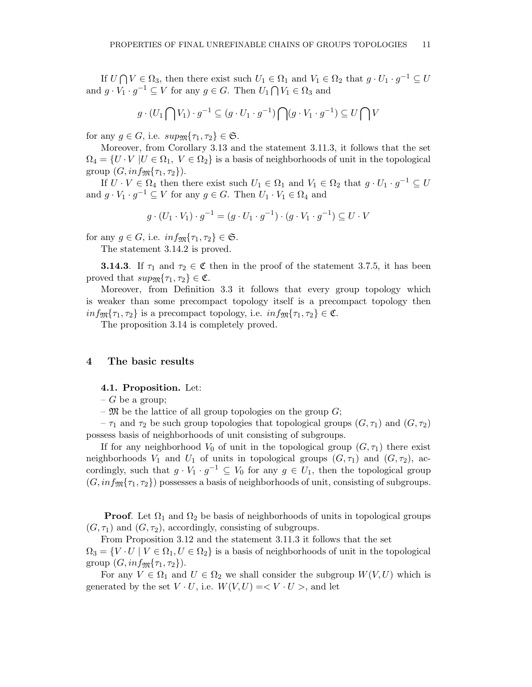If  $U \cap V \in \Omega_3$ , then there exist such  $U_1 \in \Omega_1$  and  $V_1 \in \Omega_2$  that  $g \cdot U_1 \cdot g^{-1} \subseteq U$ and  $g \cdot V_1 \cdot g^{-1} \subseteq V$  for any  $g \in G$ . Then  $U_1 \cap V_1 \in \Omega_3$  and

$$
g \cdot (U_1 \bigcap V_1) \cdot g^{-1} \subseteq (g \cdot U_1 \cdot g^{-1}) \bigcap (g \cdot V_1 \cdot g^{-1}) \subseteq U \bigcap V
$$

for any  $g \in G$ , i.e.  $sup_{\mathfrak{M}} {\tau_1, \tau_2} \in \mathfrak{S}$ .

Moreover, from Corollary 3.13 and the statement 3.11.3, it follows that the set  $\Omega_4 = \{U \cdot V \mid U \in \Omega_1, V \in \Omega_2\}$  is a basis of neighborhoods of unit in the topological group  $(G, inf_{\mathfrak{M}}\{\tau_1, \tau_2\}).$ 

If  $U \cdot V \in \Omega_4$  then there exist such  $U_1 \in \Omega_1$  and  $V_1 \in \Omega_2$  that  $g \cdot U_1 \cdot g^{-1} \subseteq U$ and  $g \cdot V_1 \cdot g^{-1} \subseteq V$  for any  $g \in G$ . Then  $U_1 \cdot V_1 \in \Omega_4$  and

$$
g \cdot (U_1 \cdot V_1) \cdot g^{-1} = (g \cdot U_1 \cdot g^{-1}) \cdot (g \cdot V_1 \cdot g^{-1}) \subseteq U \cdot V
$$

for any  $g \in G$ , i.e.  $inf_{\mathfrak{M}} {\tau_1, \tau_2} \in \mathfrak{S}$ .

The statement 3.14.2 is proved.

**3.14.3**. If  $\tau_1$  and  $\tau_2 \in \mathfrak{C}$  then in the proof of the statement 3.7.5, it has been proved that  $sup_{\mathfrak{M}} {\tau_1, \tau_2} \in \mathfrak{C}$ .

Moreover, from Definition 3.3 it follows that every group topology which is weaker than some precompact topology itself is a precompact topology then  $inf_{\mathfrak{M}}\{\tau_1,\tau_2\}$  is a precompact topology, i.e.  $inf_{\mathfrak{M}}\{\tau_1,\tau_2\} \in \mathfrak{C}$ .

The proposition 3.14 is completely proved.

# 4 The basic results

### 4.1. Proposition. Let:

 $-G$  be a group;

–  $\mathfrak{M}$  be the lattice of all group topologies on the group  $G$ ;

 $-\tau_1$  and  $\tau_2$  be such group topologies that topological groups  $(G, \tau_1)$  and  $(G, \tau_2)$ possess basis of neighborhoods of unit consisting of subgroups.

If for any neighborhood  $V_0$  of unit in the topological group  $(G, \tau_1)$  there exist neighborhoods  $V_1$  and  $U_1$  of units in topological groups  $(G, \tau_1)$  and  $(G, \tau_2)$ , accordingly, such that  $g \cdot V_1 \cdot g^{-1} \subseteq V_0$  for any  $g \in U_1$ , then the topological group  $(G, inf_{\mathfrak{M}}\{\tau_1, \tau_2\})$  possesses a basis of neighborhoods of unit, consisting of subgroups.

**Proof.** Let  $\Omega_1$  and  $\Omega_2$  be basis of neighborhoods of units in topological groups  $(G, \tau_1)$  and  $(G, \tau_2)$ , accordingly, consisting of subgroups.

From Proposition 3.12 and the statement 3.11.3 it follows that the set  $\Omega_3 = \{V \cdot U \mid V \in \Omega_1, U \in \Omega_2\}$  is a basis of neighborhoods of unit in the topological group  $(G, inf_{\mathfrak{M}}\{\tau_1, \tau_2\}).$ 

For any  $V \in \Omega_1$  and  $U \in \Omega_2$  we shall consider the subgroup  $W(V, U)$  which is generated by the set  $V \cdot U$ , i.e.  $W(V, U) = \langle V \cdot U \rangle$ , and let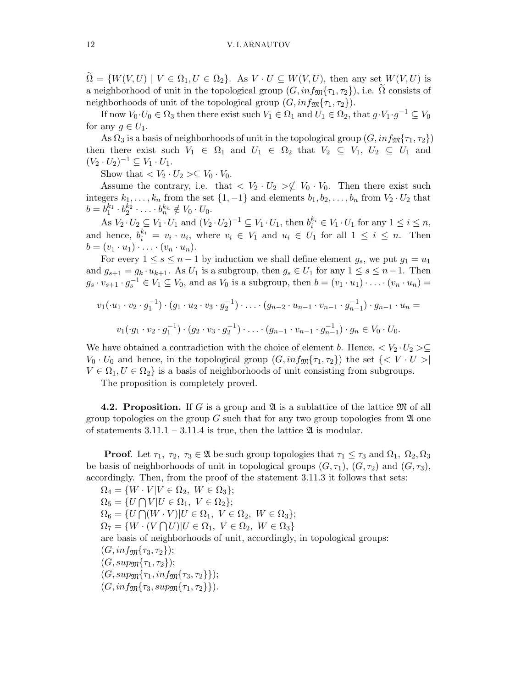$\Omega = \{W(V, U) \mid V \in \Omega_1, U \in \Omega_2\}.$  As  $V \cdot U \subseteq W(V, U)$ , then any set  $W(V, U)$  is a neighborhood of unit in the topological group  $(G, inf_{\mathfrak{M}}{\tau_1, \tau_2})$ , i.e.  $\Omega$  consists of neighborhoods of unit of the topological group  $(G, inf_{\mathfrak{M}}\{\tau_1, \tau_2\}).$ 

If now  $V_0 \cdot U_0 \in \Omega_3$  then there exist such  $V_1 \in \Omega_1$  and  $U_1 \in \Omega_2$ , that  $g \cdot V_1 \cdot g^{-1} \subseteq V_0$ for any  $g \in U_1$ .

As  $\Omega_3$  is a basis of neighborhoods of unit in the topological group  $(G, inf_{\mathfrak{M}}\{\tau_1, \tau_2\})$ then there exist such  $V_1 \in \Omega_1$  and  $U_1 \in \Omega_2$  that  $V_2 \subseteq V_1$ ,  $U_2 \subseteq U_1$  and  $(V_2 \cdot U_2)^{-1} \subseteq V_1 \cdot U_1.$ 

Show that  $\langle V_2 \cdot U_2 \rangle \subseteq V_0 \cdot V_0$ .

Assume the contrary, i.e. that  $\langle V_2 \cdot U_2 \rangle \nsubseteq V_0 \cdot V_0$ . Then there exist such integers  $k_1, \ldots, k_n$  from the set  $\{1, -1\}$  and elements  $b_1, b_2, \ldots, b_n$  from  $V_2 \cdot U_2$  that  $b = b_1^{k_1} \cdot b_2^{k_2} \cdot \ldots \cdot b_n^{k_n} \notin V_0 \cdot U_0.$ 

As  $V_2 \cdot U_2 \subseteq V_1 \cdot U_1$  and  $(V_2 \cdot U_2)^{-1} \subseteq V_1 \cdot U_1$ , then  $b_i^{k_i} \in V_1 \cdot U_1$  for any  $1 \le i \le n$ , and hence,  $b_i^{k_i} = v_i \cdot u_i$ , where  $v_i \in V_1$  and  $u_i \in U_1$  for all  $1 \leq i \leq n$ . Then  $b = (v_1 \cdot u_1) \cdot \ldots \cdot (v_n \cdot u_n).$ 

For every  $1 \leq s \leq n-1$  by induction we shall define element  $g_s$ , we put  $g_1 = u_1$ and  $g_{s+1} = g_k \cdot u_{k+1}$ . As  $U_1$  is a subgroup, then  $g_s \in U_1$  for any  $1 \leq s \leq n-1$ . Then  $g_s \cdot v_{s+1} \cdot g_s^{-1} \in V_1 \subseteq V_0$ , and as  $V_0$  is a subgroup, then  $b = (v_1 \cdot u_1) \cdot \ldots \cdot (v_n \cdot u_n) =$ 

$$
v_1(\cdot u_1 \cdot v_2 \cdot g_1^{-1}) \cdot (g_1 \cdot u_2 \cdot v_3 \cdot g_2^{-1}) \cdot \ldots \cdot (g_{n-2} \cdot u_{n-1} \cdot v_{n-1} \cdot g_{n-1}^{-1}) \cdot g_{n-1} \cdot u_n =
$$
  

$$
v_1(\cdot g_1 \cdot v_2 \cdot g_1^{-1}) \cdot (g_2 \cdot v_3 \cdot g_2^{-1}) \cdot \ldots \cdot (g_{n-1} \cdot v_{n-1} \cdot g_{n-1}^{-1}) \cdot g_n \in V_0 \cdot U_0.
$$

We have obtained a contradiction with the choice of element b. Hence,  $\langle V_2 \cdot U_2 \rangle \subseteq$  $V_0 \cdot U_0$  and hence, in the topological group  $(G, inf_{\mathfrak{M}}{\tau_1, \tau_2})$  the set  $\{< V \cdot U > |$  $V \in \Omega_1, U \in \Omega_2$  is a basis of neighborhoods of unit consisting from subgroups.

The proposition is completely proved.

**4.2. Proposition.** If G is a group and  $\mathfrak{A}$  is a sublattice of the lattice  $\mathfrak{M}$  of all group topologies on the group  $G$  such that for any two group topologies from  $\mathfrak A$  one of statements  $3.11.1 - 3.11.4$  is true, then the lattice  $\mathfrak{A}$  is modular.

**Proof.** Let  $\tau_1$ ,  $\tau_2$ ,  $\tau_3 \in \mathfrak{A}$  be such group topologies that  $\tau_1 \leq \tau_3$  and  $\Omega_1$ ,  $\Omega_2$ ,  $\Omega_3$ be basis of neighborhoods of unit in topological groups  $(G, \tau_1), (G, \tau_2)$  and  $(G, \tau_3)$ , accordingly. Then, from the proof of the statement 3.11.3 it follows that sets:

 $\Omega_4 = \{ W \cdot V | V \in \Omega_2, \ W \in \Omega_3 \};$  $\Omega_5 = \overline{\{U \cap V | U \in \Omega_1, V \in \Omega_2\}};$  $\Omega_6 = \{ U \bigcap (W \cdot V) | U \in \Omega_1, \ V \in \Omega_2, \ W \in \Omega_3 \};$  $\Omega_7 = \{ W \cdot (V \cap U) | U \in \Omega_1, V \in \Omega_2, W \in \Omega_3 \}$ are basis of neighborhoods of unit, accordingly, in topological groups:  $(G, inf_{m} {\tau_3, \tau_2});$  $(G, supp_{\mathfrak{M}}\{\tau_1, \tau_2\});$  $(G, \text{sup}_{\mathfrak{M}}\{\tau_1, \text{inf}_{\mathfrak{M}}\{\tau_3, \tau_2\}\});$  $(G, inf_{\mathfrak{M}}\{\tau_3, supp_{\mathfrak{M}}\{\tau_1, \tau_2\}\}).$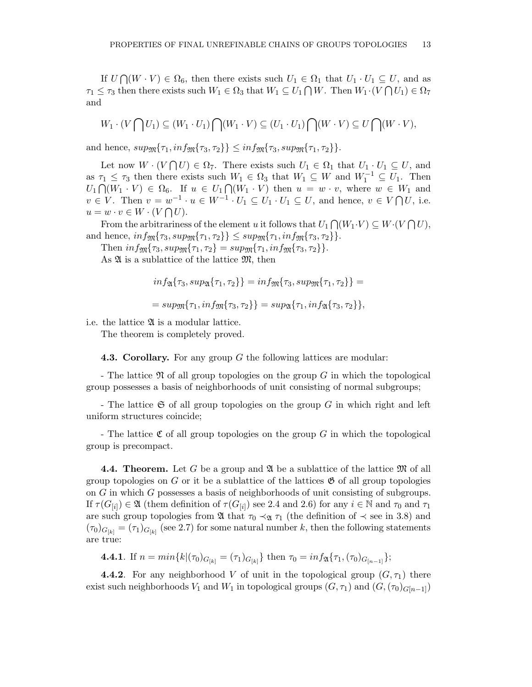If  $U \cap (W \cdot V) \in \Omega_6$ , then there exists such  $U_1 \in \Omega_1$  that  $U_1 \cdot U_1 \subseteq U$ , and as  $\tau_1 \leq \tau_3$  then there exists such  $W_1 \in \Omega_3$  that  $W_1 \subseteq U_1 \cap W$ . Then  $W_1 \cdot (V \cap U_1) \in \Omega_7$ and

$$
W_1 \cdot (V \bigcap U_1) \subseteq (W_1 \cdot U_1) \bigcap (W_1 \cdot V) \subseteq (U_1 \cdot U_1) \bigcap (W \cdot V) \subseteq U \bigcap (W \cdot V),
$$

and hence,  $sup_{\mathfrak{M}}\{\tau_1, inf_{\mathfrak{M}}\{\tau_3, \tau_2\}\}\leq inf_{\mathfrak{M}}\{\tau_3, supp_{\mathfrak{M}}\{\tau_1, \tau_2\}\}.$ 

Let now  $W \cdot (V \cap U) \in \Omega_7$ . There exists such  $U_1 \in \Omega_1$  that  $U_1 \cdot U_1 \subseteq U$ , and as  $\tau_1 \leq \tau_3$  then there exists such  $W_1 \in \Omega_3$  that  $W_1 \subseteq W$  and  $W_1^{-1} \subseteq U_1$ . Then  $U_1 \cap (W_1 \cdot V) \in \Omega_6$ . If  $u \in U_1 \cap (W_1 \cdot V)$  then  $u = w \cdot v$ , where  $w \in W_1$  and  $v \in V$ . Then  $v = w^{-1} \cdot u \in W^{-1} \cdot U_1 \subseteq U_1 \cdot U_1 \subseteq U$ , and hence,  $v \in V \cap U$ , i.e.  $u = w \cdot v \in W \cdot (V \cap U).$ 

From the arbitrariness of the element u it follows that  $U_1 \bigcap (W_1 \cdot V) \subseteq W \cdot (V \bigcap U)$ , and hence,  $inf_{\mathfrak{M}} {\tau_3, supp_{\mathfrak{M}} {\tau_1, \tau_2}} \geq sup_{\mathfrak{M}} {\tau_1, inf_{\mathfrak{M}} {\tau_3, \tau_2}}.$ 

Then  $inf_{\mathfrak{M}}\{\tau_3, supp_{\mathfrak{M}}\{\tau_1, \tau_2\} = supp_{\mathfrak{M}}\{\tau_1, inf_{\mathfrak{M}}\{\tau_3, \tau_2\}\}.$ As  $\mathfrak A$  is a sublattice of the lattice  $\mathfrak M$ , then

$$
inf_{\mathfrak{A}}\{\tau_3, sup_{\mathfrak{A}}\{\tau_1, \tau_2\}\} = inf_{\mathfrak{M}}\{\tau_3, sup_{\mathfrak{M}}\{\tau_1, \tau_2\}\} =
$$
  
= 
$$
sup_{\mathfrak{M}}\{\tau_1, inf_{\mathfrak{M}}\{\tau_3, \tau_2\}\} = sup_{\mathfrak{A}}\{\tau_1, inf_{\mathfrak{A}}\{\tau_3, \tau_2\}\},
$$

i.e. the lattice  $\mathfrak A$  is a modular lattice.

The theorem is completely proved.

**4.3. Corollary.** For any group  $G$  the following lattices are modular:

- The lattice  $\mathfrak N$  of all group topologies on the group G in which the topological group possesses a basis of neighborhoods of unit consisting of normal subgroups;

- The lattice  $\mathfrak S$  of all group topologies on the group G in which right and left uniform structures coincide;

- The lattice  $\mathfrak C$  of all group topologies on the group G in which the topological group is precompact.

**4.4. Theorem.** Let G be a group and  $\mathfrak{A}$  be a sublattice of the lattice  $\mathfrak{M}$  of all group topologies on G or it be a sublattice of the lattices  $\mathfrak{G}$  of all group topologies on G in which G possesses a basis of neighborhoods of unit consisting of subgroups. If  $\tau(G_{[i]}) \in \mathfrak{A}$  (them definition of  $\tau(G_{[i]})$  see 2.4 and 2.6) for any  $i \in \mathbb{N}$  and  $\tau_0$  and  $\tau_1$ are such group topologies from  $\mathfrak A$  that  $\tau_0 \prec_{\mathfrak A} \tau_1$  (the definition of  $\prec$  see in 3.8) and  $(\tau_0)_{G_{[k]}} = (\tau_1)_{G_{[k]}}$  (see 2.7) for some natural number k, then the following statements are true:

**4.4.1**. If  $n = min\{k | (\tau_0)_{G_{[k]}} = (\tau_1)_{G_{[k]}}\}$  then  $\tau_0 = inf_{\mathfrak{A}}\{\tau_1, (\tau_0)_{G_{[n-1]}}\};$ 

**4.4.2**. For any neighborhood V of unit in the topological group  $(G, \tau_1)$  there exist such neighborhoods  $V_1$  and  $W_1$  in topological groups  $(G, \tau_1)$  and  $(G,(\tau_0)_{G[n-1]})$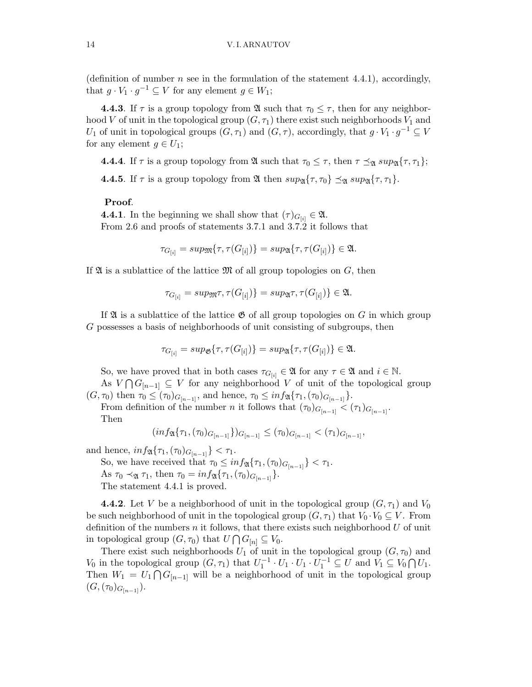(definition of number  $n$  see in the formulation of the statement 4.4.1), accordingly, that  $g \cdot V_1 \cdot g^{-1} \subseteq V$  for any element  $g \in W_1$ ;

**4.4.3**. If  $\tau$  is a group topology from  $\mathfrak{A}$  such that  $\tau_0 \leq \tau$ , then for any neighborhood V of unit in the topological group  $(G, \tau_1)$  there exist such neighborhoods  $V_1$  and U<sub>1</sub> of unit in topological groups  $(G, \tau_1)$  and  $(G, \tau)$ , accordingly, that  $g \cdot V_1 \cdot g^{-1} \subseteq V$ for any element  $q \in U_1$ ;

**4.4.** If  $\tau$  is a group topology from  $\mathfrak{A}$  such that  $\tau_0 \leq \tau$ , then  $\tau \leq_{\mathfrak{A}} sup_{\mathfrak{A}}{\tau, \tau_1};$ 

**4.4.5**. If  $\tau$  is a group topology from  $\mathfrak{A}$  then  $sup_{\mathfrak{A}}\{\tau, \tau_0\} \preceq_{\mathfrak{A}} sup_{\mathfrak{A}}\{\tau, \tau_1\}.$ 

#### Proof.

**4.4.1**. In the beginning we shall show that  $(\tau)_{G_{[i]}} \in \mathfrak{A}$ . From 2.6 and proofs of statements 3.7.1 and 3.7.2 it follows that

$$
\tau_{G_{[i]}} = \sup \mathfrak{M}\{\tau, \tau(G_{[i]})\} = \sup \mathfrak{A}\{\tau, \tau(G_{[i]})\} \in \mathfrak{A}.
$$

If  $\mathfrak A$  is a sublattice of the lattice  $\mathfrak M$  of all group topologies on  $G$ , then

$$
\tau_{G_{[i]}} = \text{sup} \pi, \tau(G_{[i]})\} = \text{sup} \pi, \tau(G_{[i]})\} \in \mathfrak{A}.
$$

If  $\mathfrak A$  is a sublattice of the lattice  $\mathfrak G$  of all group topologies on G in which group G possesses a basis of neighborhoods of unit consisting of subgroups, then

$$
\tau_{G_{[i]}} = \sup \{ \tau, \tau(G_{[i]}) \} = \sup \{ \tau, \tau(G_{[i]}) \} \in \mathfrak{A}.
$$

So, we have proved that in both cases  $\tau_{G[i]} \in \mathfrak{A}$  for any  $\tau \in \mathfrak{A}$  and  $i \in \mathbb{N}$ .

As  $V \bigcap G_{n-1} \subseteq V$  for any neighborhood V of unit of the topological group  $(G, \tau_0)$  then  $\tau_0 \leq (\tau_0)_{G_{[n-1]}}$ , and hence,  $\tau_0 \leq \inf \mathfrak{A}(\tau_1, (\tau_0)_{G_{[n-1]}})$ .

From definition of the number *n* it follows that  $(\tau_0)_{G_{n-1}} < (\tau_1)_{G_{n-1}}$ . Then

$$
(inf_{\mathfrak{A}}\{\tau_1,(\tau_0)_{G_{[n-1]}}\})_{G_{[n-1]}} \leq (\tau_0)_{G_{[n-1]}} < (\tau_1)_{G_{[n-1]}},
$$

and hence,  $inf_{\mathfrak{A}}\{\tau_1, (\tau_0)_{G_{[n-1]}}\} < \tau_1$ .

So, we have received that  $\tau_0 \leq inf_{\mathfrak{A}}{\tau_1,(\tau_0)_{G_{[n-1]}}}<\tau_1$ . As  $\tau_0 \prec_{\mathfrak{A}} \tau_1$ , then  $\tau_0 = \inf_{\mathfrak{A}} {\{\tau_1, (\tau_0)_{G_{[n-1]}}\}}$ .

The statement 4.4.1 is proved.

**4.4.2**. Let V be a neighborhood of unit in the topological group  $(G, \tau_1)$  and  $V_0$ be such neighborhood of unit in the topological group  $(G, \tau_1)$  that  $V_0 \cdot V_0 \subseteq V$ . From definition of the numbers  $n$  it follows, that there exists such neighborhood  $U$  of unit in topological group  $(G, \tau_0)$  that  $U \cap G_{[n]} \subseteq V_0$ .

There exist such neighborhoods  $U_1$  of unit in the topological group  $(G, \tau_0)$  and  $V_0$  in the topological group  $(G, \tau_1)$  that  $U_1^{-1} \cdot U_1 \cdot U_1 \cdot U_1^{-1} \subseteq U$  and  $V_1 \subseteq V_0 \cap U_1$ . Then  $W_1 = U_1 \cap G_{[n-1]}$  will be a neighborhood of unit in the topological group  $(G,(\tau_0)_{G_{[n-1]}}).$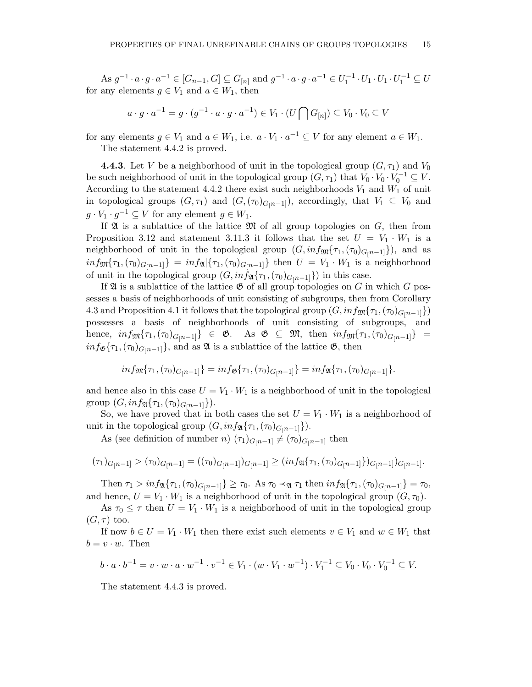As  $g^{-1} \cdot a \cdot g \cdot a^{-1} \in [G_{n-1}, G] \subseteq G_{[n]}$  and  $g^{-1} \cdot a \cdot g \cdot a^{-1} \in U_1^{-1} \cdot U_1 \cdot U_1^{-1} \subseteq U$ for any elements  $g \in V_1$  and  $a \in W_1$ , then

$$
a \cdot g \cdot a^{-1} = g \cdot (g^{-1} \cdot a \cdot g \cdot a^{-1}) \in V_1 \cdot (U \cap G_{[n]}) \subseteq V_0 \cdot V_0 \subseteq V
$$

for any elements  $g \in V_1$  and  $a \in W_1$ , i.e.  $a \cdot V_1 \cdot a^{-1} \subseteq V$  for any element  $a \in W_1$ .

The statement 4.4.2 is proved.

**4.4.3**. Let V be a neighborhood of unit in the topological group  $(G, \tau_1)$  and  $V_0$ be such neighborhood of unit in the topological group  $(G, \tau_1)$  that  $V_0 \cdot V_0 \cdot V_0^{-1} \subseteq V$ . According to the statement 4.4.2 there exist such neighborhoods  $V_1$  and  $W_1$  of unit in topological groups  $(G, \tau_1)$  and  $(G,(\tau_0)_{G[n-1]})$ , accordingly, that  $V_1 \subseteq V_0$  and  $g \cdot V_1 \cdot g^{-1} \subseteq V$  for any element  $g \in W_1$ .

If  $\mathfrak A$  is a sublattice of the lattice  $\mathfrak M$  of all group topologies on  $G$ , then from Proposition 3.12 and statement 3.11.3 it follows that the set  $U = V_1 \cdot W_1$  is a neighborhood of unit in the topological group  $(G, inf_{\mathfrak{M}}{\tau_1,(\tau_0)_{G[n-1]}})$ , and as  $inf_{\mathfrak{M}}\{\tau_1,(\tau_0)_{G[n-1]}\} = inf_{\mathfrak{A}}\{\tau_1,(\tau_0)_{G[n-1]}\}$  then  $U = V_1 \cdot W_1$  is a neighborhood of unit in the topological group  $(G, inf_{\mathfrak{A}}\{\tau_1,(\tau_0)_{G[n-1]}\})$  in this case.

If  $\mathfrak A$  is a sublattice of the lattice  $\mathfrak G$  of all group topologies on G in which G possesses a basis of neighborhoods of unit consisting of subgroups, then from Corollary 4.3 and Proposition 4.1 it follows that the topological group  $(G, inf_{\mathfrak{M}}\{\tau_1, (\tau_0)_{G[n-1]}\})$ possesses a basis of neighborhoods of unit consisting of subgroups, and hence,  $inf_{\mathfrak{M}}\{\tau_1,(\tau_0)_{G[n-1]}\}\in \mathfrak{G}$ . As  $\mathfrak{G}\subseteq \mathfrak{M}$ , then  $inf_{\mathfrak{M}}\{\tau_1,(\tau_0)_{G[n-1]}\}$  =  $inf_{\mathfrak{G}}\{\tau_1,(\tau_0)_{G[n-1]}\}\,$  and as  $\mathfrak A$  is a sublattice of the lattice  $\mathfrak G$ , then

$$
inf_{\mathfrak{M}}\{\tau_1,(\tau_0)_{G[n-1]}\}=inf_{\mathfrak{G}}\{\tau_1,(\tau_0)_{G[n-1]}\}=inf_{\mathfrak{A}}\{\tau_1,(\tau_0)_{G[n-1]}\}.
$$

and hence also in this case  $U = V_1 \cdot W_1$  is a neighborhood of unit in the topological group  $(G, inf_{\mathfrak{A}}\{\tau_1, (\tau_0)_{G[n-1]}\}).$ 

So, we have proved that in both cases the set  $U = V_1 \cdot W_1$  is a neighborhood of unit in the topological group  $(G, inf_{\mathfrak{A}}\{\tau_1,(\tau_0)_{G[n-1]}\}).$ 

As (see definition of number n)  $(\tau_1)_{G[n-1]} \neq (\tau_0)_{G[n-1]}$  then

$$
(\tau_1)_{G[n-1]} > (\tau_0)_{G[n-1]} = ((\tau_0)_{G[n-1]})_{G[n-1]} \geq (inf_{\mathfrak{A}} \{\tau_1, (\tau_0)_{G[n-1]}\}_{G[n-1]})_{G[n-1]}.
$$

Then  $\tau_1 > \inf_{\mathfrak{A}} {\{\tau_1, (\tau_0)_{G[n-1]}\}} \geq \tau_0$ . As  $\tau_0 \prec_{\mathfrak{A}} \tau_1$  then  $\inf_{\mathfrak{A}} {\{\tau_1, (\tau_0)_{G[n-1]}\}} = \tau_0$ , and hence,  $U = V_1 \cdot W_1$  is a neighborhood of unit in the topological group  $(G, \tau_0)$ .

As  $\tau_0 \leq \tau$  then  $U = V_1 \cdot W_1$  is a neighborhood of unit in the topological group  $(G, \tau)$  too.

If now  $b \in U = V_1 \cdot W_1$  then there exist such elements  $v \in V_1$  and  $w \in W_1$  that  $b = v \cdot w$ . Then

$$
b \cdot a \cdot b^{-1} = v \cdot w \cdot a \cdot w^{-1} \cdot v^{-1} \in V_1 \cdot (w \cdot V_1 \cdot w^{-1}) \cdot V_1^{-1} \subseteq V_0 \cdot V_0 \cdot V_0^{-1} \subseteq V.
$$

The statement 4.4.3 is proved.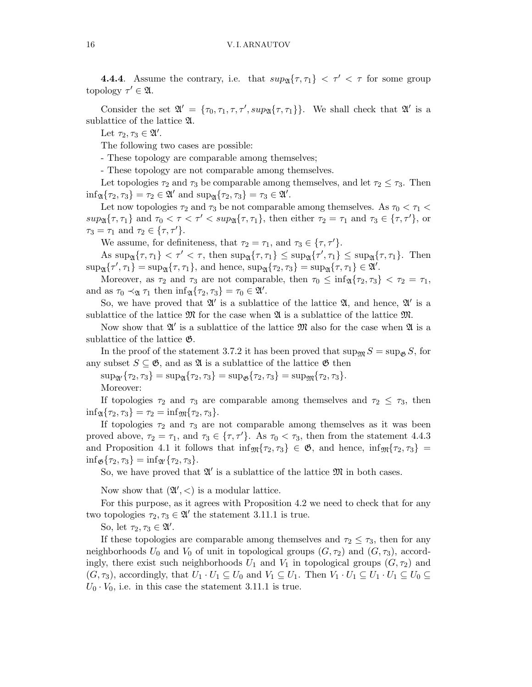**4.4.4**. Assume the contrary, i.e. that  $supp_{\mathfrak{A}}\{\tau,\tau_1\} < \tau' < \tau$  for some group topology  $\tau' \in \mathfrak{A}$ .

Consider the set  $\mathfrak{A}' = {\tau_0, \tau_1, \tau, \tau', \sup_{\mathfrak{A}} {\tau, \tau_1}}.$  We shall check that  $\mathfrak{A}'$  is a sublattice of the lattice A.

Let  $\tau_2, \tau_3 \in \mathfrak{A}'$ .

The following two cases are possible:

- These topology are comparable among themselves;

- These topology are not comparable among themselves.

Let topologies  $\tau_2$  and  $\tau_3$  be comparable among themselves, and let  $\tau_2 \leq \tau_3$ . Then  $\inf_{\mathfrak{A}} {\tau_2, \tau_3} = \tau_2 \in \mathfrak{A}' \text{ and } \sup_{\mathfrak{A}} {\tau_2, \tau_3} = \tau_3 \in \mathfrak{A}'.$ 

Let now topologies  $\tau_2$  and  $\tau_3$  be not comparable among themselves. As  $\tau_0 < \tau_1 <$  $sup_{\mathfrak{A}}\{\tau,\tau_1\}$  and  $\tau_0 < \tau < \tau' < sup_{\mathfrak{A}}\{\tau,\tau_1\}$ , then either  $\tau_2 = \tau_1$  and  $\tau_3 \in \{\tau,\tau'\}$ , or  $\tau_3 = \tau_1$  and  $\tau_2 \in {\lbrace \tau, \tau' \rbrace}$ .

We assume, for definiteness, that  $\tau_2 = \tau_1$ , and  $\tau_3 \in {\tau, \tau'}$ .

As  $\sup_{\mathfrak{A}} \{\tau, \tau_1\} < \tau' < \tau$ , then  $\sup_{\mathfrak{A}} \{\tau, \tau_1\} \leq \sup_{\mathfrak{A}} \{\tau', \tau_1\} \leq \sup_{\mathfrak{A}} \{\tau, \tau_1\}$ . Then  $\sup_{\mathfrak{A}}\{\tau',\tau_1\}=\sup_{\mathfrak{A}}\{\tau,\tau_1\},\$ and hence,  $\sup_{\mathfrak{A}}\{\tau_2,\tau_3\}=\sup_{\mathfrak{A}}\{\tau,\tau_1\}\in\mathfrak{A}'.$ 

Moreover, as  $\tau_2$  and  $\tau_3$  are not comparable, then  $\tau_0 \leq \inf_{\mathfrak{A}} {\tau_2, \tau_3} < \tau_2 = \tau_1$ , and as  $\tau_0 \prec_{\mathfrak{A}} \tau_1$  then  $\inf_{\mathfrak{A}} {\tau_2, \tau_3} = \tau_0 \in \mathfrak{A}'$ .

So, we have proved that  $\mathfrak{A}'$  is a sublattice of the lattice  $\mathfrak{A}$ , and hence,  $\mathfrak{A}'$  is a sublattice of the lattice  $\mathfrak{M}$  for the case when  $\mathfrak{A}$  is a sublattice of the lattice  $\mathfrak{M}$ .

Now show that  $\mathfrak{A}'$  is a sublattice of the lattice  $\mathfrak{M}$  also for the case when  $\mathfrak{A}$  is a sublattice of the lattice G.

In the proof of the statement 3.7.2 it has been proved that  $\sup_{\mathfrak{M}} S = \sup_{\mathfrak{G}} S$ , for any subset  $S \subseteq \mathfrak{G}$ , and as  $\mathfrak{A}$  is a sublattice of the lattice  $\mathfrak{G}$  then

 $\sup_{\mathfrak{A}'} {\tau_2, \tau_3} = \sup_{\mathfrak{A}} {\tau_2, \tau_3} = \sup_{\mathfrak{B}} {\tau_2, \tau_3} = \sup_{\mathfrak{B}} {\tau_2, \tau_3}.$ Moreover:

If topologies  $\tau_2$  and  $\tau_3$  are comparable among themselves and  $\tau_2 \leq \tau_3$ , then  $\inf_{\mathfrak{A}} \{\tau_2, \tau_3\} = \tau_2 = \inf_{\mathfrak{M}} \{\tau_2, \tau_3\}.$ 

If topologies  $\tau_2$  and  $\tau_3$  are not comparable among themselves as it was been proved above,  $\tau_2 = \tau_1$ , and  $\tau_3 \in {\tau, \tau'}$ . As  $\tau_0 < \tau_3$ , then from the statement 4.4.3 and Proposition 4.1 it follows that  $\inf_{\mathfrak{M}} {\tau_2, \tau_3} \in \mathfrak{G}$ , and hence,  $\inf_{\mathfrak{M}} {\tau_2, \tau_3} =$  $\inf_{\mathfrak{G}} \{ \tau_2, \tau_3 \} = \inf_{\mathfrak{A}'} \{ \tau_2, \tau_3 \}.$ 

So, we have proved that  $\mathfrak{A}'$  is a sublattice of the lattice  $\mathfrak{M}$  in both cases.

Now show that  $(\mathfrak{A}',<)$  is a modular lattice.

For this purpose, as it agrees with Proposition 4.2 we need to check that for any two topologies  $\tau_2, \tau_3 \in \mathfrak{A}'$  the statement 3.11.1 is true.

So, let  $\tau_2, \tau_3 \in \mathfrak{A}'$ .

If these topologies are comparable among themselves and  $\tau_2 \leq \tau_3$ , then for any neighborhoods  $U_0$  and  $V_0$  of unit in topological groups  $(G, \tau_2)$  and  $(G, \tau_3)$ , accordingly, there exist such neighborhoods  $U_1$  and  $V_1$  in topological groups  $(G, \tau_2)$  and  $(G, \tau_3)$ , accordingly, that  $U_1 \cdot U_1 \subseteq U_0$  and  $V_1 \subseteq U_1$ . Then  $V_1 \cdot U_1 \subseteq U_1 \cdot U_1 \subseteq U_0 \subseteq$  $U_0 \cdot V_0$ , i.e. in this case the statement 3.11.1 is true.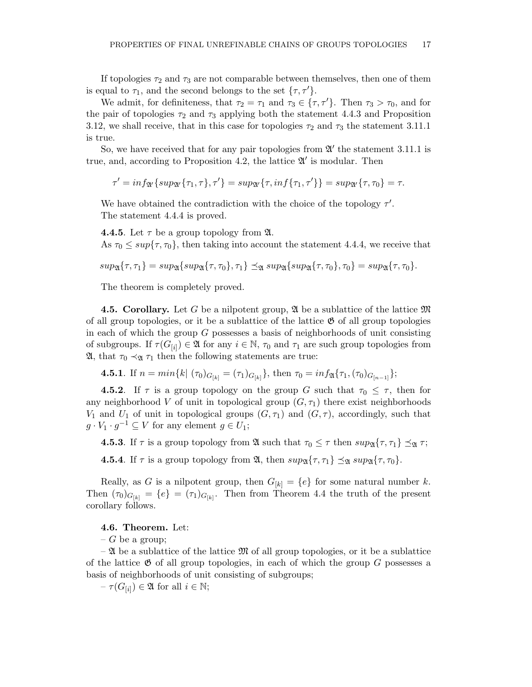If topologies  $\tau_2$  and  $\tau_3$  are not comparable between themselves, then one of them is equal to  $\tau_1$ , and the second belongs to the set  $\{\tau, \tau'\}.$ 

We admit, for definiteness, that  $\tau_2 = \tau_1$  and  $\tau_3 \in {\tau, \tau'}$ . Then  $\tau_3 > \tau_0$ , and for the pair of topologies  $\tau_2$  and  $\tau_3$  applying both the statement 4.4.3 and Proposition 3.12, we shall receive, that in this case for topologies  $\tau_2$  and  $\tau_3$  the statement 3.11.1 is true.

So, we have received that for any pair topologies from  $\mathfrak{A}'$  the statement 3.11.1 is true, and, according to Proposition 4.2, the lattice  $\mathfrak{A}'$  is modular. Then

 $\tau' = \inf_{\mathfrak{A}'} \{ \sup_{\mathfrak{A}'} \{ \tau_1, \tau \}, \tau' \} = \sup_{\mathfrak{A}'} \{ \tau, \inf \{ \tau_1, \tau' \} \} = \sup_{\mathfrak{A}'} \{ \tau, \tau_0 \} = \tau.$ 

We have obtained the contradiction with the choice of the topology  $\tau'$ . The statement 4.4.4 is proved.

**4.4.5**. Let  $\tau$  be a group topology from  $\mathfrak{A}$ .

As  $\tau_0 \leq \sup\{\tau, \tau_0\}$ , then taking into account the statement 4.4.4, we receive that

$$
sup_{\mathfrak{A}}\{\tau,\tau_1\}=sup_{\mathfrak{A}}\{sup_{\mathfrak{A}}\{\tau,\tau_0\},\tau_1\}\preceq_{\mathfrak{A}}sup_{\mathfrak{A}}\{sup_{\mathfrak{A}}\{\tau,\tau_0\},\tau_0\}=sup_{\mathfrak{A}}\{\tau,\tau_0\}.
$$

The theorem is completely proved.

4.5. Corollary. Let G be a nilpotent group,  $\mathfrak{A}$  be a sublattice of the lattice  $\mathfrak{M}$ of all group topologies, or it be a sublattice of the lattice  $\mathfrak{G}$  of all group topologies in each of which the group  $G$  possesses a basis of neighborhoods of unit consisting of subgroups. If  $\tau(G_{[i]}) \in \mathfrak{A}$  for any  $i \in \mathbb{N}$ ,  $\tau_0$  and  $\tau_1$  are such group topologies from  $\mathfrak{A}$ , that  $\tau_0 \prec_{\mathfrak{A}} \tau_1$  then the following statements are true:

**4.5.1.** If 
$$
n = min\{k | (\tau_0)_{G_{[k]}} = (\tau_1)_{G_{[k]}}\}
$$
, then  $\tau_0 = inf_{\mathfrak{A}}\{\tau_1, (\tau_0)_{G_{[n-1]}}\}$ ;

**4.5.2**. If  $\tau$  is a group topology on the group G such that  $\tau_0 \leq \tau$ , then for any neighborhood V of unit in topological group  $(G, \tau_1)$  there exist neighborhoods  $V_1$  and  $U_1$  of unit in topological groups  $(G, \tau_1)$  and  $(G, \tau)$ , accordingly, such that  $g \cdot V_1 \cdot g^{-1} \subseteq V$  for any element  $g \in U_1$ ;

**4.5.3**. If  $\tau$  is a group topology from  $\mathfrak{A}$  such that  $\tau_0 \leq \tau$  then  $sup_{\mathfrak{A}} {\{\tau, \tau_1\}} \preceq_{\mathfrak{A}} \tau$ ;

**4.5.4**. If  $\tau$  is a group topology from  $\mathfrak{A}$ , then  $sup_{\mathfrak{A}}\{\tau, \tau_1\} \preceq_{\mathfrak{A}} sup_{\mathfrak{A}}\{\tau, \tau_0\}.$ 

Really, as G is a nilpotent group, then  $G_{[k]} = \{e\}$  for some natural number k. Then  $(\tau_0)_{G_{[k]}} = \{e\} = (\tau_1)_{G_{[k]}}$ . Then from Theorem 4.4 the truth of the present corollary follows.

### 4.6. Theorem. Let:

 $-G$  be a group;

 $-2\ell$  be a sublattice of the lattice  $\mathfrak{M}$  of all group topologies, or it be a sublattice of the lattice  $\mathfrak G$  of all group topologies, in each of which the group G possesses a basis of neighborhoods of unit consisting of subgroups;

 $-\tau(G_{[i]}) \in \mathfrak{A}$  for all  $i \in \mathbb{N};$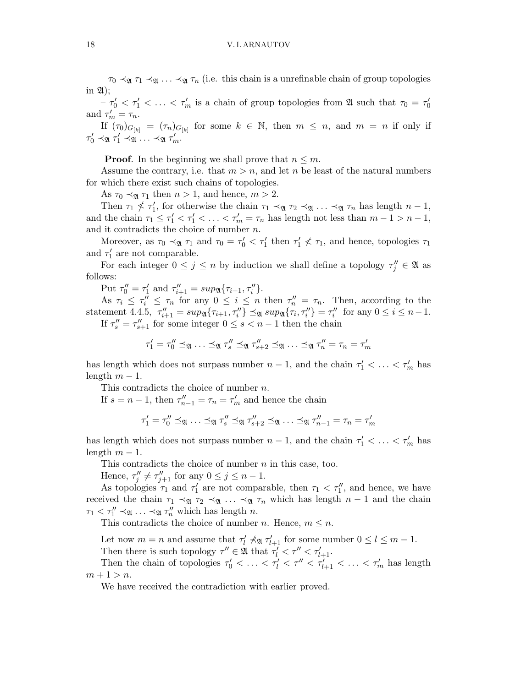#### 18 V. I. ARNAUTOV

 $-\tau_0 \prec_{\mathfrak{A}} \tau_1 \prec_{\mathfrak{A}} \ldots \prec_{\mathfrak{A}} \tau_n$  (i.e. this chain is a unrefinable chain of group topologies in  $\mathfrak{A}$ :

 $-\tau'_0 < \tau'_1 < \ldots < \tau'_m$  is a chain of group topologies from  $\mathfrak A$  such that  $\tau_0 = \tau'_0$ 0 and  $\tau'_m = \tau_n$ .

If  $(\tau_0)_{G_{[k]}} = (\tau_n)_{G_{[k]}}$  for some  $k \in \mathbb{N}$ , then  $m \leq n$ , and  $m = n$  if only if  $\tau'_0 \prec_{\mathfrak{A}} \tau'_1 \prec_{\mathfrak{A}} \ldots \prec_{\mathfrak{A}} \tau'_m.$ 

**Proof.** In the beginning we shall prove that  $n \leq m$ .

Assume the contrary, i.e. that  $m > n$ , and let n be least of the natural numbers for which there exist such chains of topologies.

As  $\tau_0 \prec_{\mathfrak{A}} \tau_1$  then  $n > 1$ , and hence,  $m > 2$ .

Then  $\tau_1 \nleq \tau_1'$  $T_1'$ , for otherwise the chain  $\tau_1 \prec_{\mathfrak{A}} \tau_2 \prec_{\mathfrak{A}} \ldots \prec_{\mathfrak{A}} \tau_n$  has length  $n-1$ , and the chain  $\tau_1 \leq \tau_1' < \tau_1' < \ldots < \tau_m' = \tau_n$  has length not less than  $m-1 > n-1$ , and it contradicts the choice of number n.

Moreover, as  $\tau_0 \prec_{\mathfrak{A}} \tau_1$  and  $\tau_0 = \tau'_0 < \tau'_1$  then  $\tau'_1 \nless \tau_1$ , and hence, topologies  $\tau_1$ and  $\tau_1'$  $n_1'$  are not comparable.

For each integer  $0 \leq j \leq n$  by induction we shall define a topology  $\tau''_j \in \mathfrak{A}$  as follows:

Put  $\tau''_0 = \tau'_1$  $T'_{1}$  and  $\tau''_{i+1} = \sup_{\mathfrak{A}} \{\tau_{i+1}, \tau''_{i}\}.$ 

As  $\tau_i \leq \tau_i'' \leq \tau_n$  for any  $0 \leq i \leq n$  then  $\tau_n'' = \tau_n$ . Then, according to the statement 4.4.5,  $\tau''_{i+1} = \sup_{\mathfrak{A}} \{ \tau_{i+1}, \tau''_i \} \preceq_{\mathfrak{A}} \sup_{\mathfrak{A}} \{ \tau_i, \tau''_i \} = \tau''_i$  $i''$  for any  $0 \le i \le n-1$ . If  $\tau''_s = \tau''_{s+1}$  for some integer  $0 \le s < n-1$  then the chain

$$
\tau_1' = \tau_0'' \preceq_{\mathfrak{A}} \ldots \preceq_{\mathfrak{A}} \tau_s'' \preceq_{\mathfrak{A}} \tau_{s+2}'' \preceq_{\mathfrak{A}} \ldots \preceq_{\mathfrak{A}} \tau_n'' = \tau_n = \tau_m'
$$

has length which does not surpass number  $n-1$ , and the chain  $\tau'_1 < \ldots < \tau'_m$  has length  $m-1$ .

This contradicts the choice of number n.

If  $s = n - 1$ , then  $\tau''_{n-1} = \tau_n = \tau'_m$  and hence the chain

$$
\tau_1' = \tau_0'' \preceq_{\mathfrak{A}} \ldots \preceq_{\mathfrak{A}} \tau_s'' \preceq_{\mathfrak{A}} \tau_{s+2}'' \preceq_{\mathfrak{A}} \ldots \preceq_{\mathfrak{A}} \tau_{n-1}'' = \tau_n = \tau_m'
$$

has length which does not surpass number  $n-1$ , and the chain  $\tau'_1 < \ldots < \tau'_m$  has length  $m-1$ .

This contradicts the choice of number  $n$  in this case, too.

Hence,  $\tau''_i$  $J''_j \neq \tau''_{j+1}$  for any  $0 \leq j \leq n-1$ .

As topologies  $\tau_1$  and  $\tau_1'$  $\tau_1'$  are not comparable, then  $\tau_1 < \tau_1''$ , and hence, we have received the chain  $\tau_1 \prec_{\mathfrak{A}} \tau_2 \prec_{\mathfrak{A}} \ldots \prec_{\mathfrak{A}} \tau_n$  which has length  $n-1$  and the chain  $\tau_1 < \tau_1'' \prec_{\mathfrak{A}} \ldots \prec_{\mathfrak{A}} \tau_n''$  which has length n.

This contradicts the choice of number n. Hence,  $m \leq n$ .

Let now  $m = n$  and assume that  $\tau'_l \nprec_{\mathfrak{A}} \tau'_{l+1}$  for some number  $0 \le l \le m - 1$ .

Then there is such topology  $\tau'' \in \mathfrak{A}$  that  $\tau'_l < \tau'' < \tau'_{l+1}$ .

Then the chain of topologies  $\tau'_0 < \ldots < \tau'_l < \tau'' < \tau'_{l+1} < \ldots < \tau'_m$  has length  $m + 1 > n$ .

We have received the contradiction with earlier proved.